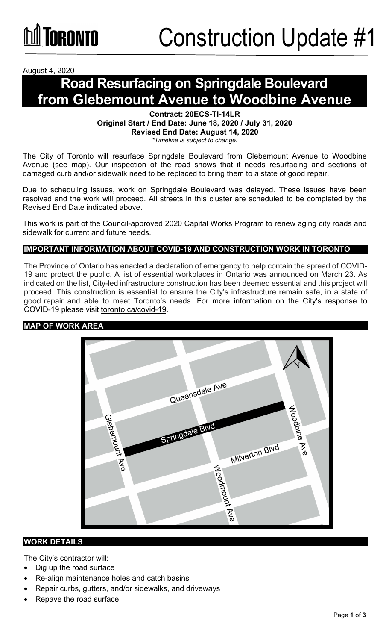August 4, 2020

# **Road Resurfacing on Springdale Boulevard from Glebemount Avenue to Woodbine Avenue**

#### **Contract: 20ECS-TI-14LR Original Start / End Date: June 18, 2020 / July 31, 2020 Revised End Date: August 14, 2020** *\*Timeline is subject to change.*

The City of Toronto will resurface Springdale Boulevard from Glebemount Avenue to Woodbine Avenue (see map). Our inspection of the road shows that it needs resurfacing and sections of damaged curb and/or sidewalk need to be replaced to bring them to a state of good repair.

Due to scheduling issues, work on Springdale Boulevard was delayed. These issues have been resolved and the work will proceed. All streets in this cluster are scheduled to be completed by the Revised End Date indicated above.

This work is part of the Council-approved 2020 Capital Works Program to renew aging city roads and sidewalk for current and future needs.

## **IMPORTANT INFORMATION ABOUT COVID-19 AND CONSTRUCTION WORK IN TORONTO**

The Province of Ontario has enacted a declaration of emergency to help contain the spread of COVID-19 and protect the public. A list of essential workplaces in Ontario was announced on March 23. As indicated on the list, City-led infrastructure construction has been deemed essential and this project will proceed. This construction is essential to ensure the City's infrastructure remain safe, in a state of good repair and able to meet Toronto's needs. For more information on the City's response to COVID-19 please visit [toronto.ca/covid-19.](http://www.toronto.ca/covid-19)

#### **MAP OF WORK AREA**



#### **WORK DETAILS**

The City's contractor will:

- Dig up the road surface
- Re-align maintenance holes and catch basins
- Repair curbs, gutters, and/or sidewalks, and driveways
- Repave the road surface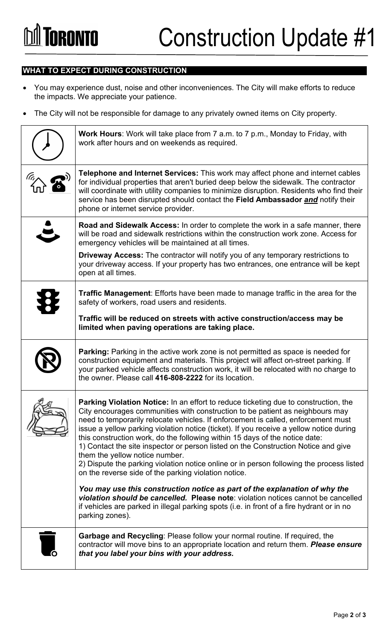## **WHAT TO EXPECT DURING CONSTRUCTION**

- You may experience dust, noise and other inconveniences. The City will make efforts to reduce the impacts. We appreciate your patience.
- The City will not be responsible for damage to any privately owned items on City property.

| <b>Work Hours:</b> Work will take place from 7 a.m. to 7 p.m., Monday to Friday, with<br>work after hours and on weekends as required.                                                                                                                                                                                                                                                                                                                                                                                                                                                                                                                                                                          |
|-----------------------------------------------------------------------------------------------------------------------------------------------------------------------------------------------------------------------------------------------------------------------------------------------------------------------------------------------------------------------------------------------------------------------------------------------------------------------------------------------------------------------------------------------------------------------------------------------------------------------------------------------------------------------------------------------------------------|
| Telephone and Internet Services: This work may affect phone and internet cables<br>for individual properties that aren't buried deep below the sidewalk. The contractor<br>will coordinate with utility companies to minimize disruption. Residents who find their<br>service has been disrupted should contact the Field Ambassador and notify their<br>phone or internet service provider.                                                                                                                                                                                                                                                                                                                    |
| Road and Sidewalk Access: In order to complete the work in a safe manner, there<br>will be road and sidewalk restrictions within the construction work zone. Access for<br>emergency vehicles will be maintained at all times.                                                                                                                                                                                                                                                                                                                                                                                                                                                                                  |
| <b>Driveway Access:</b> The contractor will notify you of any temporary restrictions to<br>your driveway access. If your property has two entrances, one entrance will be kept<br>open at all times.                                                                                                                                                                                                                                                                                                                                                                                                                                                                                                            |
| <b>Traffic Management:</b> Efforts have been made to manage traffic in the area for the<br>safety of workers, road users and residents.                                                                                                                                                                                                                                                                                                                                                                                                                                                                                                                                                                         |
| Traffic will be reduced on streets with active construction/access may be<br>limited when paving operations are taking place.                                                                                                                                                                                                                                                                                                                                                                                                                                                                                                                                                                                   |
| Parking: Parking in the active work zone is not permitted as space is needed for<br>construction equipment and materials. This project will affect on-street parking. If<br>your parked vehicle affects construction work, it will be relocated with no charge to<br>the owner. Please call 416-808-2222 for its location.                                                                                                                                                                                                                                                                                                                                                                                      |
| Parking Violation Notice: In an effort to reduce ticketing due to construction, the<br>City encourages communities with construction to be patient as neighbours may<br>need to temporarily relocate vehicles. If enforcement is called, enforcement must<br>issue a yellow parking violation notice (ticket). If you receive a yellow notice during<br>this construction work, do the following within 15 days of the notice date:<br>1) Contact the site inspector or person listed on the Construction Notice and give<br>them the yellow notice number.<br>2) Dispute the parking violation notice online or in person following the process listed<br>on the reverse side of the parking violation notice. |
| You may use this construction notice as part of the explanation of why the<br>violation should be cancelled. Please note: violation notices cannot be cancelled<br>if vehicles are parked in illegal parking spots (i.e. in front of a fire hydrant or in no<br>parking zones).                                                                                                                                                                                                                                                                                                                                                                                                                                 |
| <b>Garbage and Recycling: Please follow your normal routine. If required, the</b><br>contractor will move bins to an appropriate location and return them. Please ensure<br>that you label your bins with your address.                                                                                                                                                                                                                                                                                                                                                                                                                                                                                         |